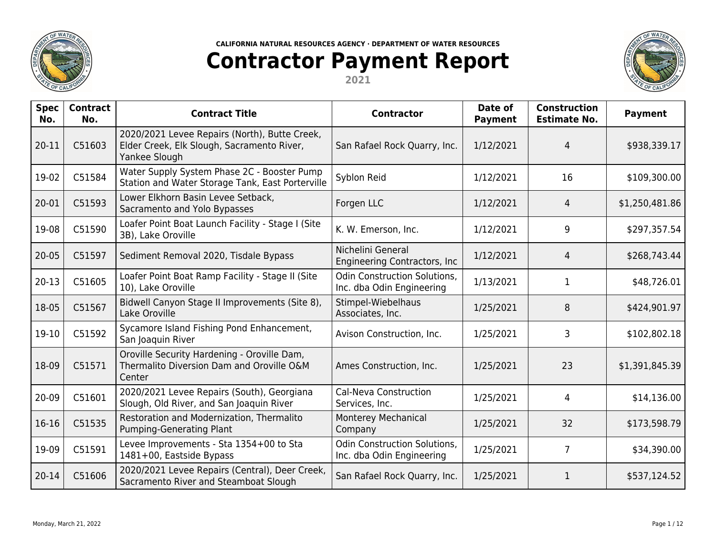

## **Contractor Payment Report**

**2021**



| <b>Spec</b><br>No. | <b>Contract</b><br>No. | <b>Contract Title</b>                                                                                        | <b>Contractor</b>                                                | Date of<br><b>Payment</b> | <b>Construction</b><br><b>Estimate No.</b> | <b>Payment</b> |
|--------------------|------------------------|--------------------------------------------------------------------------------------------------------------|------------------------------------------------------------------|---------------------------|--------------------------------------------|----------------|
| 20-11              | C51603                 | 2020/2021 Levee Repairs (North), Butte Creek,<br>Elder Creek, Elk Slough, Sacramento River,<br>Yankee Slough | San Rafael Rock Quarry, Inc.                                     | 1/12/2021                 | 4                                          | \$938,339.17   |
| 19-02              | C51584                 | Water Supply System Phase 2C - Booster Pump<br>Station and Water Storage Tank, East Porterville              | Syblon Reid                                                      | 1/12/2021                 | 16                                         | \$109,300.00   |
| 20-01              | C51593                 | Lower Elkhorn Basin Levee Setback,<br>Sacramento and Yolo Bypasses                                           | Forgen LLC                                                       | 1/12/2021                 | 4                                          | \$1,250,481.86 |
| 19-08              | C51590                 | Loafer Point Boat Launch Facility - Stage I (Site<br>3B), Lake Oroville                                      | K. W. Emerson, Inc.                                              | 1/12/2021                 | 9                                          | \$297,357.54   |
| $20 - 05$          | C51597                 | Sediment Removal 2020, Tisdale Bypass                                                                        | Nichelini General<br>Engineering Contractors, Inc.               | 1/12/2021                 | 4                                          | \$268,743.44   |
| $20 - 13$          | C51605                 | Loafer Point Boat Ramp Facility - Stage II (Site<br>10), Lake Oroville                                       | <b>Odin Construction Solutions,</b><br>Inc. dba Odin Engineering | 1/13/2021                 | 1                                          | \$48,726.01    |
| 18-05              | C51567                 | Bidwell Canyon Stage II Improvements (Site 8),<br>Lake Oroville                                              | Stimpel-Wiebelhaus<br>Associates, Inc.                           | 1/25/2021                 | 8                                          | \$424,901.97   |
| 19-10              | C51592                 | Sycamore Island Fishing Pond Enhancement,<br>San Joaquin River                                               | Avison Construction, Inc.                                        | 1/25/2021                 | 3                                          | \$102,802.18   |
| 18-09              | C51571                 | Oroville Security Hardening - Oroville Dam,<br>Thermalito Diversion Dam and Oroville O&M<br>Center           | Ames Construction, Inc.                                          | 1/25/2021                 | 23                                         | \$1,391,845.39 |
| 20-09              | C51601                 | 2020/2021 Levee Repairs (South), Georgiana<br>Slough, Old River, and San Joaquin River                       | Cal-Neva Construction<br>Services, Inc.                          | 1/25/2021                 | 4                                          | \$14,136.00    |
| 16-16              | C51535                 | Restoration and Modernization, Thermalito<br>Pumping-Generating Plant                                        | Monterey Mechanical<br>Company                                   | 1/25/2021                 | 32                                         | \$173,598.79   |
| 19-09              | C51591                 | Levee Improvements - Sta 1354+00 to Sta<br>1481+00, Eastside Bypass                                          | <b>Odin Construction Solutions,</b><br>Inc. dba Odin Engineering | 1/25/2021                 | $\overline{7}$                             | \$34,390.00    |
| $20 - 14$          | C51606                 | 2020/2021 Levee Repairs (Central), Deer Creek,<br>Sacramento River and Steamboat Slough                      | San Rafael Rock Quarry, Inc.                                     | 1/25/2021                 | $\mathbf{1}$                               | \$537,124.52   |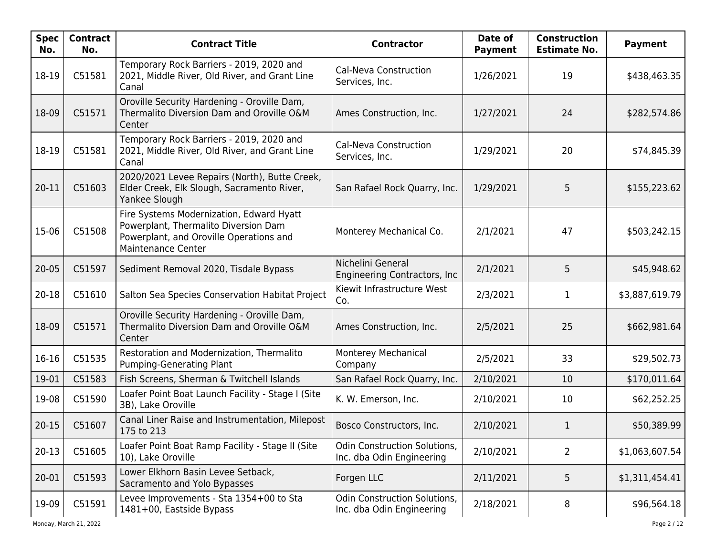| <b>Spec</b><br>No. | <b>Contract</b><br>No. | <b>Contract Title</b>                                                                                                                             | <b>Contractor</b>                                                | Date of<br><b>Payment</b> | <b>Construction</b><br><b>Estimate No.</b> | <b>Payment</b> |
|--------------------|------------------------|---------------------------------------------------------------------------------------------------------------------------------------------------|------------------------------------------------------------------|---------------------------|--------------------------------------------|----------------|
| 18-19              | C51581                 | Temporary Rock Barriers - 2019, 2020 and<br>2021, Middle River, Old River, and Grant Line<br>Canal                                                | Cal-Neva Construction<br>Services, Inc.                          | 1/26/2021                 | 19                                         | \$438,463.35   |
| 18-09              | C51571                 | Oroville Security Hardening - Oroville Dam,<br>Thermalito Diversion Dam and Oroville O&M<br>Center                                                | Ames Construction, Inc.                                          | 1/27/2021                 | 24                                         | \$282,574.86   |
| 18-19              | C51581                 | Temporary Rock Barriers - 2019, 2020 and<br>2021, Middle River, Old River, and Grant Line<br>Canal                                                | Cal-Neva Construction<br>Services, Inc.                          | 1/29/2021                 | 20                                         | \$74,845.39    |
| 20-11              | C51603                 | 2020/2021 Levee Repairs (North), Butte Creek,<br>Elder Creek, Elk Slough, Sacramento River,<br>Yankee Slough                                      | San Rafael Rock Quarry, Inc.                                     | 1/29/2021                 | 5                                          | \$155,223.62   |
| 15-06              | C51508                 | Fire Systems Modernization, Edward Hyatt<br>Powerplant, Thermalito Diversion Dam<br>Powerplant, and Oroville Operations and<br>Maintenance Center | Monterey Mechanical Co.                                          | 2/1/2021                  | 47                                         | \$503,242.15   |
| $20 - 05$          | C51597                 | Sediment Removal 2020, Tisdale Bypass                                                                                                             | Nichelini General<br>Engineering Contractors, Inc.               | 2/1/2021                  | 5                                          | \$45,948.62    |
| $20 - 18$          | C51610                 | Salton Sea Species Conservation Habitat Project                                                                                                   | Kiewit Infrastructure West<br>Co.                                | 2/3/2021                  | 1                                          | \$3,887,619.79 |
| 18-09              | C51571                 | Oroville Security Hardening - Oroville Dam,<br>Thermalito Diversion Dam and Oroville O&M<br>Center                                                | Ames Construction, Inc.                                          | 2/5/2021                  | 25                                         | \$662,981.64   |
| $16-16$            | C51535                 | Restoration and Modernization, Thermalito<br>Pumping-Generating Plant                                                                             | Monterey Mechanical<br>Company                                   | 2/5/2021                  | 33                                         | \$29,502.73    |
| 19-01              | C51583                 | Fish Screens, Sherman & Twitchell Islands                                                                                                         | San Rafael Rock Quarry, Inc.                                     | 2/10/2021                 | 10                                         | \$170,011.64   |
| 19-08              | C51590                 | Loafer Point Boat Launch Facility - Stage I (Site<br>3B), Lake Oroville                                                                           | K. W. Emerson, Inc.                                              | 2/10/2021                 | 10                                         | \$62,252.25    |
| $20 - 15$          | C51607                 | Canal Liner Raise and Instrumentation, Milepost<br>175 to 213                                                                                     | Bosco Constructors, Inc.                                         | 2/10/2021                 | 1                                          | \$50,389.99    |
| $20-13$            | C51605                 | Loafer Point Boat Ramp Facility - Stage II (Site<br>10), Lake Oroville                                                                            | <b>Odin Construction Solutions,</b><br>Inc. dba Odin Engineering | 2/10/2021                 | $\overline{2}$                             | \$1,063,607.54 |
| $20 - 01$          | C51593                 | Lower Elkhorn Basin Levee Setback,<br>Sacramento and Yolo Bypasses                                                                                | Forgen LLC                                                       | 2/11/2021                 | 5                                          | \$1,311,454.41 |
| 19-09              | C51591                 | Levee Improvements - Sta 1354+00 to Sta<br>1481+00, Eastside Bypass                                                                               | <b>Odin Construction Solutions,</b><br>Inc. dba Odin Engineering | 2/18/2021                 | 8                                          | \$96,564.18    |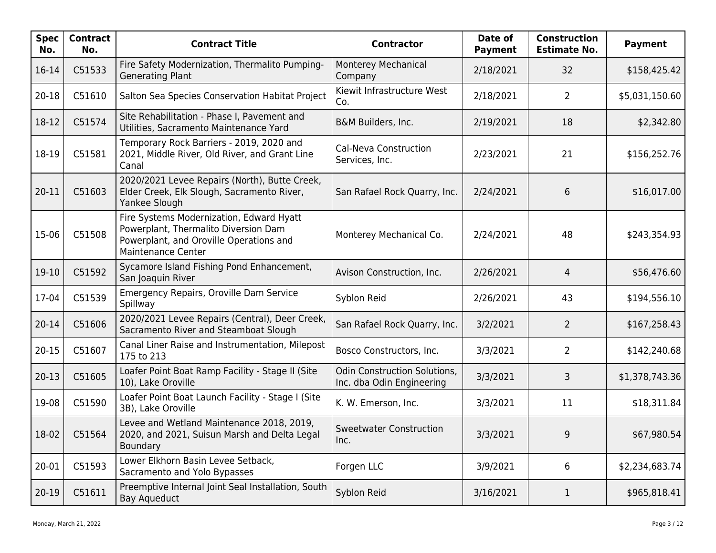| <b>Spec</b><br>No. | <b>Contract</b><br>No. | <b>Contract Title</b>                                                                                                                             | <b>Contractor</b>                                                | Date of<br><b>Payment</b> | <b>Construction</b><br><b>Estimate No.</b> | <b>Payment</b> |
|--------------------|------------------------|---------------------------------------------------------------------------------------------------------------------------------------------------|------------------------------------------------------------------|---------------------------|--------------------------------------------|----------------|
| 16-14              | C51533                 | Fire Safety Modernization, Thermalito Pumping-<br><b>Generating Plant</b>                                                                         | Monterey Mechanical<br>Company                                   | 2/18/2021                 | 32                                         | \$158,425.42   |
| $20 - 18$          | C51610                 | Salton Sea Species Conservation Habitat Project                                                                                                   | Kiewit Infrastructure West<br>Co.                                | 2/18/2021                 | $\overline{2}$                             | \$5,031,150.60 |
| 18-12              | C51574                 | Site Rehabilitation - Phase I, Pavement and<br>Utilities, Sacramento Maintenance Yard                                                             | B&M Builders, Inc.                                               | 2/19/2021                 | 18                                         | \$2,342.80     |
| 18-19              | C51581                 | Temporary Rock Barriers - 2019, 2020 and<br>2021, Middle River, Old River, and Grant Line<br>Canal                                                | Cal-Neva Construction<br>Services, Inc.                          | 2/23/2021                 | 21                                         | \$156,252.76   |
| 20-11              | C51603                 | 2020/2021 Levee Repairs (North), Butte Creek,<br>Elder Creek, Elk Slough, Sacramento River,<br>Yankee Slough                                      | San Rafael Rock Quarry, Inc.                                     | 2/24/2021                 | 6                                          | \$16,017.00    |
| 15-06              | C51508                 | Fire Systems Modernization, Edward Hyatt<br>Powerplant, Thermalito Diversion Dam<br>Powerplant, and Oroville Operations and<br>Maintenance Center | Monterey Mechanical Co.                                          | 2/24/2021                 | 48                                         | \$243,354.93   |
| 19-10              | C51592                 | Sycamore Island Fishing Pond Enhancement,<br>San Joaquin River                                                                                    | Avison Construction, Inc.                                        | 2/26/2021                 | 4                                          | \$56,476.60    |
| 17-04              | C51539                 | Emergency Repairs, Oroville Dam Service<br>Spillway                                                                                               | Syblon Reid                                                      | 2/26/2021                 | 43                                         | \$194,556.10   |
| $20 - 14$          | C51606                 | 2020/2021 Levee Repairs (Central), Deer Creek,<br>Sacramento River and Steamboat Slough                                                           | San Rafael Rock Quarry, Inc.                                     | 3/2/2021                  | $\overline{2}$                             | \$167,258.43   |
| $20 - 15$          | C51607                 | Canal Liner Raise and Instrumentation, Milepost<br>175 to 213                                                                                     | Bosco Constructors, Inc.                                         | 3/3/2021                  | $\overline{2}$                             | \$142,240.68   |
| $20 - 13$          | C51605                 | Loafer Point Boat Ramp Facility - Stage II (Site<br>10), Lake Oroville                                                                            | <b>Odin Construction Solutions,</b><br>Inc. dba Odin Engineering | 3/3/2021                  | 3                                          | \$1,378,743.36 |
| 19-08              | C51590                 | Loafer Point Boat Launch Facility - Stage I (Site<br>3B), Lake Oroville                                                                           | K. W. Emerson, Inc.                                              | 3/3/2021                  | 11                                         | \$18,311.84    |
| 18-02              | C51564                 | Levee and Wetland Maintenance 2018, 2019,<br>2020, and 2021, Suisun Marsh and Delta Legal<br><b>Boundary</b>                                      | <b>Sweetwater Construction</b><br>Inc.                           | 3/3/2021                  | 9                                          | \$67,980.54    |
| 20-01              | C51593                 | Lower Elkhorn Basin Levee Setback,<br>Sacramento and Yolo Bypasses                                                                                | Forgen LLC                                                       | 3/9/2021                  | 6                                          | \$2,234,683.74 |
| $20-19$            | C51611                 | Preemptive Internal Joint Seal Installation, South<br><b>Bay Aqueduct</b>                                                                         | Syblon Reid                                                      | 3/16/2021                 | $\mathbf{1}$                               | \$965,818.41   |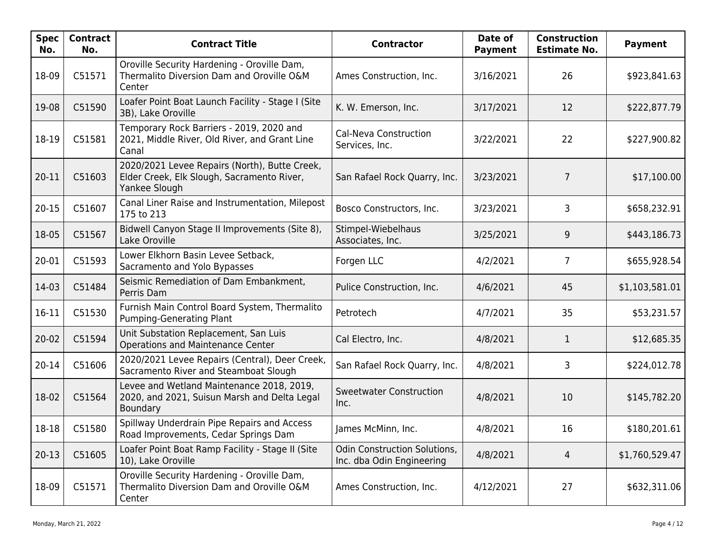| <b>Spec</b><br>No. | <b>Contract</b><br>No. | <b>Contract Title</b>                                                                                        | <b>Contractor</b>                                                | Date of<br><b>Payment</b> | <b>Construction</b><br><b>Estimate No.</b> | <b>Payment</b> |
|--------------------|------------------------|--------------------------------------------------------------------------------------------------------------|------------------------------------------------------------------|---------------------------|--------------------------------------------|----------------|
| 18-09              | C51571                 | Oroville Security Hardening - Oroville Dam,<br>Thermalito Diversion Dam and Oroville O&M<br>Center           | Ames Construction, Inc.                                          | 3/16/2021                 | 26                                         | \$923,841.63   |
| 19-08              | C51590                 | Loafer Point Boat Launch Facility - Stage I (Site<br>3B), Lake Oroville                                      | K. W. Emerson, Inc.                                              | 3/17/2021                 | 12                                         | \$222,877.79   |
| 18-19              | C51581                 | Temporary Rock Barriers - 2019, 2020 and<br>2021, Middle River, Old River, and Grant Line<br>Canal           | Cal-Neva Construction<br>Services, Inc.                          | 3/22/2021                 | 22                                         | \$227,900.82   |
| 20-11              | C51603                 | 2020/2021 Levee Repairs (North), Butte Creek,<br>Elder Creek, Elk Slough, Sacramento River,<br>Yankee Slough | San Rafael Rock Quarry, Inc.                                     | 3/23/2021                 | 7                                          | \$17,100.00    |
| $20 - 15$          | C51607                 | Canal Liner Raise and Instrumentation, Milepost<br>175 to 213                                                | Bosco Constructors, Inc.                                         | 3/23/2021                 | 3                                          | \$658,232.91   |
| 18-05              | C51567                 | Bidwell Canyon Stage II Improvements (Site 8),<br>Lake Oroville                                              | Stimpel-Wiebelhaus<br>Associates, Inc.                           | 3/25/2021                 | 9                                          | \$443,186.73   |
| 20-01              | C51593                 | Lower Elkhorn Basin Levee Setback,<br>Sacramento and Yolo Bypasses                                           | Forgen LLC                                                       | 4/2/2021                  | 7                                          | \$655,928.54   |
| 14-03              | C51484                 | Seismic Remediation of Dam Embankment,<br>Perris Dam                                                         | Pulice Construction, Inc.                                        | 4/6/2021                  | 45                                         | \$1,103,581.01 |
| 16-11              | C51530                 | Furnish Main Control Board System, Thermalito<br>Pumping-Generating Plant                                    | Petrotech                                                        | 4/7/2021                  | 35                                         | \$53,231.57    |
| $20 - 02$          | C51594                 | Unit Substation Replacement, San Luis<br><b>Operations and Maintenance Center</b>                            | Cal Electro, Inc.                                                | 4/8/2021                  | 1                                          | \$12,685.35    |
| $20 - 14$          | C51606                 | 2020/2021 Levee Repairs (Central), Deer Creek,<br>Sacramento River and Steamboat Slough                      | San Rafael Rock Quarry, Inc.                                     | 4/8/2021                  | 3                                          | \$224,012.78   |
| 18-02              | C51564                 | Levee and Wetland Maintenance 2018, 2019,<br>2020, and 2021, Suisun Marsh and Delta Legal<br>Boundary        | <b>Sweetwater Construction</b><br>Inc.                           | 4/8/2021                  | 10                                         | \$145,782.20   |
| 18-18              | C51580                 | Spillway Underdrain Pipe Repairs and Access<br>Road Improvements, Cedar Springs Dam                          | James McMinn, Inc.                                               | 4/8/2021                  | 16                                         | \$180,201.61   |
| $20 - 13$          | C51605                 | Loafer Point Boat Ramp Facility - Stage II (Site<br>10), Lake Oroville                                       | <b>Odin Construction Solutions,</b><br>Inc. dba Odin Engineering | 4/8/2021                  | 4                                          | \$1,760,529.47 |
| 18-09              | C51571                 | Oroville Security Hardening - Oroville Dam,<br>Thermalito Diversion Dam and Oroville O&M<br>Center           | Ames Construction, Inc.                                          | 4/12/2021                 | 27                                         | \$632,311.06   |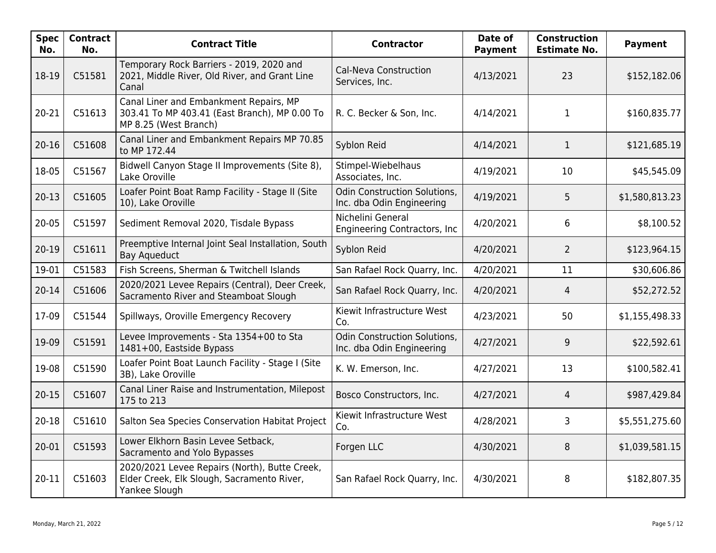| <b>Spec</b><br>No. | <b>Contract</b><br>No. | <b>Contract Title</b>                                                                                            | <b>Contractor</b>                                         | Date of<br><b>Payment</b> | <b>Construction</b><br><b>Estimate No.</b> | <b>Payment</b> |
|--------------------|------------------------|------------------------------------------------------------------------------------------------------------------|-----------------------------------------------------------|---------------------------|--------------------------------------------|----------------|
| 18-19              | C51581                 | Temporary Rock Barriers - 2019, 2020 and<br>2021, Middle River, Old River, and Grant Line<br>Canal               | Cal-Neva Construction<br>Services, Inc.                   | 4/13/2021                 | 23                                         | \$152,182.06   |
| 20-21              | C51613                 | Canal Liner and Embankment Repairs, MP<br>303.41 To MP 403.41 (East Branch), MP 0.00 To<br>MP 8.25 (West Branch) | R. C. Becker & Son, Inc.                                  | 4/14/2021                 | $\mathbf{1}$                               | \$160,835.77   |
| $20 - 16$          | C51608                 | Canal Liner and Embankment Repairs MP 70.85<br>to MP 172.44                                                      | Syblon Reid                                               | 4/14/2021                 | $\mathbf{1}$                               | \$121,685.19   |
| 18-05              | C51567                 | Bidwell Canyon Stage II Improvements (Site 8),<br>Lake Oroville                                                  | Stimpel-Wiebelhaus<br>Associates, Inc.                    | 4/19/2021                 | 10                                         | \$45,545.09    |
| $20-13$            | C51605                 | Loafer Point Boat Ramp Facility - Stage II (Site<br>10), Lake Oroville                                           | Odin Construction Solutions,<br>Inc. dba Odin Engineering | 4/19/2021                 | 5                                          | \$1,580,813.23 |
| $20 - 05$          | C51597                 | Sediment Removal 2020, Tisdale Bypass                                                                            | Nichelini General<br>Engineering Contractors, Inc.        | 4/20/2021                 | 6                                          | \$8,100.52     |
| $20-19$            | C51611                 | Preemptive Internal Joint Seal Installation, South<br>Bay Aqueduct                                               | Syblon Reid                                               | 4/20/2021                 | $\overline{2}$                             | \$123,964.15   |
| 19-01              | C51583                 | Fish Screens, Sherman & Twitchell Islands                                                                        | San Rafael Rock Quarry, Inc.                              | 4/20/2021                 | 11                                         | \$30,606.86    |
| $20 - 14$          | C51606                 | 2020/2021 Levee Repairs (Central), Deer Creek,<br>Sacramento River and Steamboat Slough                          | San Rafael Rock Quarry, Inc.                              | 4/20/2021                 | $\overline{4}$                             | \$52,272.52    |
| 17-09              | C51544                 | Spillways, Oroville Emergency Recovery                                                                           | Kiewit Infrastructure West<br>Co.                         | 4/23/2021                 | 50                                         | \$1,155,498.33 |
| 19-09              | C51591                 | Levee Improvements - Sta 1354+00 to Sta<br>1481+00, Eastside Bypass                                              | Odin Construction Solutions,<br>Inc. dba Odin Engineering | 4/27/2021                 | 9                                          | \$22,592.61    |
| 19-08              | C51590                 | Loafer Point Boat Launch Facility - Stage I (Site<br>3B), Lake Oroville                                          | K. W. Emerson, Inc.                                       | 4/27/2021                 | 13                                         | \$100,582.41   |
| $20 - 15$          | C51607                 | Canal Liner Raise and Instrumentation, Milepost<br>175 to 213                                                    | Bosco Constructors, Inc.                                  | 4/27/2021                 | 4                                          | \$987,429.84   |
| $20 - 18$          | C51610                 | Salton Sea Species Conservation Habitat Project                                                                  | Kiewit Infrastructure West<br>Co.                         | 4/28/2021                 | 3                                          | \$5,551,275.60 |
| 20-01              | C51593                 | Lower Elkhorn Basin Levee Setback,<br>Sacramento and Yolo Bypasses                                               | Forgen LLC                                                | 4/30/2021                 | 8                                          | \$1,039,581.15 |
| 20-11              | C51603                 | 2020/2021 Levee Repairs (North), Butte Creek,<br>Elder Creek, Elk Slough, Sacramento River,<br>Yankee Slough     | San Rafael Rock Quarry, Inc.                              | 4/30/2021                 | 8                                          | \$182,807.35   |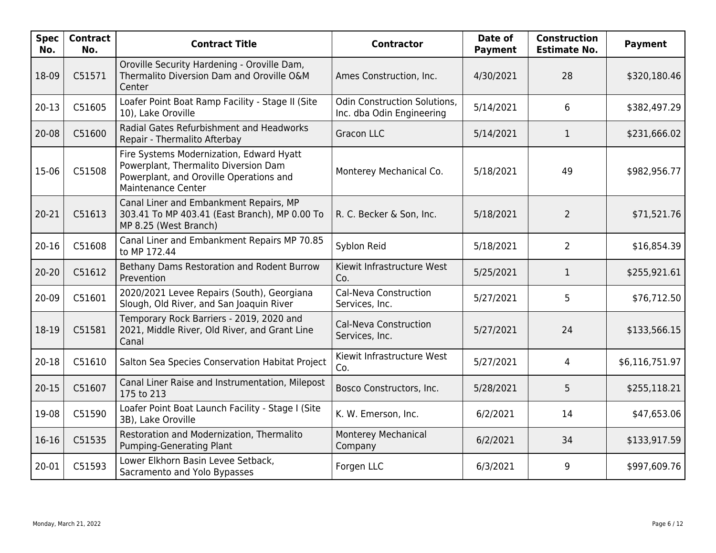| <b>Spec</b><br>No. | <b>Contract</b><br>No. | <b>Contract Title</b>                                                                                                                                    | <b>Contractor</b>                                                | Date of<br><b>Payment</b> | <b>Construction</b><br><b>Estimate No.</b> | <b>Payment</b> |
|--------------------|------------------------|----------------------------------------------------------------------------------------------------------------------------------------------------------|------------------------------------------------------------------|---------------------------|--------------------------------------------|----------------|
| 18-09              | C51571                 | Oroville Security Hardening - Oroville Dam,<br>Thermalito Diversion Dam and Oroville O&M<br>Center                                                       | Ames Construction, Inc.                                          | 4/30/2021                 | 28                                         | \$320,180.46   |
| $20-13$            | C51605                 | Loafer Point Boat Ramp Facility - Stage II (Site<br>10), Lake Oroville                                                                                   | <b>Odin Construction Solutions,</b><br>Inc. dba Odin Engineering | 5/14/2021                 | 6                                          | \$382,497.29   |
| 20-08              | C51600                 | Radial Gates Refurbishment and Headworks<br>Repair - Thermalito Afterbay                                                                                 | <b>Gracon LLC</b>                                                | 5/14/2021                 | $\mathbf{1}$                               | \$231,666.02   |
| 15-06              | C51508                 | Fire Systems Modernization, Edward Hyatt<br>Powerplant, Thermalito Diversion Dam<br>Powerplant, and Oroville Operations and<br><b>Maintenance Center</b> | Monterey Mechanical Co.                                          | 5/18/2021                 | 49                                         | \$982,956.77   |
| 20-21              | C51613                 | Canal Liner and Embankment Repairs, MP<br>303.41 To MP 403.41 (East Branch), MP 0.00 To<br>MP 8.25 (West Branch)                                         | R. C. Becker & Son, Inc.                                         | 5/18/2021                 | $\overline{2}$                             | \$71,521.76    |
| $20 - 16$          | C51608                 | Canal Liner and Embankment Repairs MP 70.85<br>to MP 172.44                                                                                              | Syblon Reid                                                      | 5/18/2021                 | $\overline{2}$                             | \$16,854.39    |
| $20 - 20$          | C51612                 | Bethany Dams Restoration and Rodent Burrow<br>Prevention                                                                                                 | Kiewit Infrastructure West<br>Co.                                | 5/25/2021                 | $\mathbf{1}$                               | \$255,921.61   |
| 20-09              | C51601                 | 2020/2021 Levee Repairs (South), Georgiana<br>Slough, Old River, and San Joaquin River                                                                   | <b>Cal-Neva Construction</b><br>Services, Inc.                   | 5/27/2021                 | 5                                          | \$76,712.50    |
| 18-19              | C51581                 | Temporary Rock Barriers - 2019, 2020 and<br>2021, Middle River, Old River, and Grant Line<br>Canal                                                       | Cal-Neva Construction<br>Services, Inc.                          | 5/27/2021                 | 24                                         | \$133,566.15   |
| 20-18              | C51610                 | Salton Sea Species Conservation Habitat Project                                                                                                          | Kiewit Infrastructure West<br>Co.                                | 5/27/2021                 | $\overline{4}$                             | \$6,116,751.97 |
| $20 - 15$          | C51607                 | Canal Liner Raise and Instrumentation, Milepost<br>175 to 213                                                                                            | Bosco Constructors, Inc.                                         | 5/28/2021                 | 5                                          | \$255,118.21   |
| 19-08              | C51590                 | Loafer Point Boat Launch Facility - Stage I (Site<br>3B), Lake Oroville                                                                                  | K. W. Emerson, Inc.                                              | 6/2/2021                  | 14                                         | \$47,653.06    |
| 16-16              | C51535                 | Restoration and Modernization, Thermalito<br><b>Pumping-Generating Plant</b>                                                                             | Monterey Mechanical<br>Company                                   | 6/2/2021                  | 34                                         | \$133,917.59   |
| 20-01              | C51593                 | Lower Elkhorn Basin Levee Setback,<br>Sacramento and Yolo Bypasses                                                                                       | Forgen LLC                                                       | 6/3/2021                  | 9                                          | \$997,609.76   |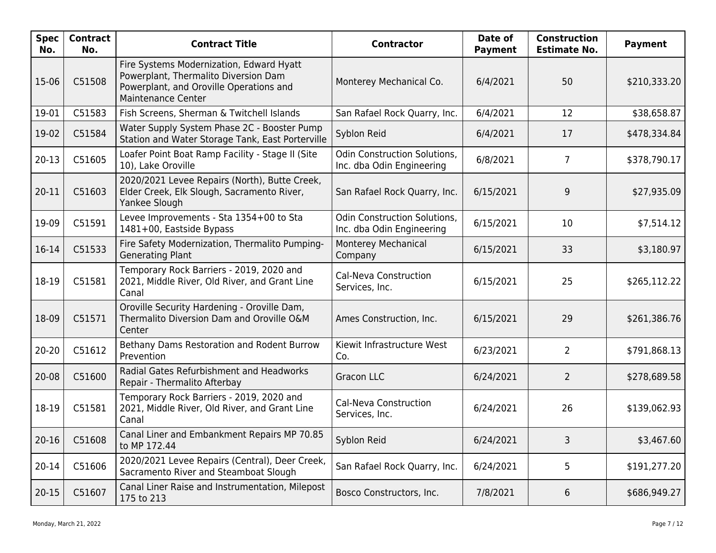| <b>Spec</b><br>No. | <b>Contract</b><br>No. | <b>Contract Title</b>                                                                                                                                    | <b>Contractor</b>                                                | Date of<br><b>Payment</b> | <b>Construction</b><br><b>Estimate No.</b> | <b>Payment</b> |
|--------------------|------------------------|----------------------------------------------------------------------------------------------------------------------------------------------------------|------------------------------------------------------------------|---------------------------|--------------------------------------------|----------------|
| 15-06              | C51508                 | Fire Systems Modernization, Edward Hyatt<br>Powerplant, Thermalito Diversion Dam<br>Powerplant, and Oroville Operations and<br><b>Maintenance Center</b> | Monterey Mechanical Co.                                          | 6/4/2021                  | 50                                         | \$210,333.20   |
| 19-01              | C51583                 | Fish Screens, Sherman & Twitchell Islands                                                                                                                | San Rafael Rock Quarry, Inc.                                     | 6/4/2021                  | 12                                         | \$38,658.87    |
| 19-02              | C51584                 | Water Supply System Phase 2C - Booster Pump<br>Station and Water Storage Tank, East Porterville                                                          | Syblon Reid                                                      | 6/4/2021                  | 17                                         | \$478,334.84   |
| $20-13$            | C51605                 | Loafer Point Boat Ramp Facility - Stage II (Site<br>10), Lake Oroville                                                                                   | <b>Odin Construction Solutions,</b><br>Inc. dba Odin Engineering | 6/8/2021                  | 7                                          | \$378,790.17   |
| 20-11              | C51603                 | 2020/2021 Levee Repairs (North), Butte Creek,<br>Elder Creek, Elk Slough, Sacramento River,<br>Yankee Slough                                             | San Rafael Rock Quarry, Inc.                                     | 6/15/2021                 | 9                                          | \$27,935.09    |
| 19-09              | C51591                 | Levee Improvements - Sta 1354+00 to Sta<br>1481+00, Eastside Bypass                                                                                      | <b>Odin Construction Solutions,</b><br>Inc. dba Odin Engineering | 6/15/2021                 | 10                                         | \$7,514.12     |
| 16-14              | C51533                 | Fire Safety Modernization, Thermalito Pumping-<br><b>Generating Plant</b>                                                                                | Monterey Mechanical<br>Company                                   | 6/15/2021                 | 33                                         | \$3,180.97     |
| 18-19              | C51581                 | Temporary Rock Barriers - 2019, 2020 and<br>2021, Middle River, Old River, and Grant Line<br>Canal                                                       | Cal-Neva Construction<br>Services, Inc.                          | 6/15/2021                 | 25                                         | \$265,112.22   |
| 18-09              | C51571                 | Oroville Security Hardening - Oroville Dam,<br>Thermalito Diversion Dam and Oroville O&M<br>Center                                                       | Ames Construction, Inc.                                          | 6/15/2021                 | 29                                         | \$261,386.76   |
| $20 - 20$          | C51612                 | Bethany Dams Restoration and Rodent Burrow<br>Prevention                                                                                                 | Kiewit Infrastructure West<br>Co.                                | 6/23/2021                 | $\overline{2}$                             | \$791,868.13   |
| 20-08              | C51600                 | Radial Gates Refurbishment and Headworks<br>Repair - Thermalito Afterbay                                                                                 | <b>Gracon LLC</b>                                                | 6/24/2021                 | $\overline{2}$                             | \$278,689.58   |
| 18-19              | C51581                 | Temporary Rock Barriers - 2019, 2020 and<br>2021, Middle River, Old River, and Grant Line<br>Canal                                                       | Cal-Neva Construction<br>Services, Inc.                          | 6/24/2021                 | 26                                         | \$139,062.93   |
| $20 - 16$          | C51608                 | Canal Liner and Embankment Repairs MP 70.85<br>to MP 172.44                                                                                              | Syblon Reid                                                      | 6/24/2021                 | 3                                          | \$3,467.60     |
| 20-14              | C51606                 | 2020/2021 Levee Repairs (Central), Deer Creek,<br>Sacramento River and Steamboat Slough                                                                  | San Rafael Rock Quarry, Inc.                                     | 6/24/2021                 | 5                                          | \$191,277.20   |
| $20 - 15$          | C51607                 | Canal Liner Raise and Instrumentation, Milepost<br>175 to 213                                                                                            | Bosco Constructors, Inc.                                         | 7/8/2021                  | 6                                          | \$686,949.27   |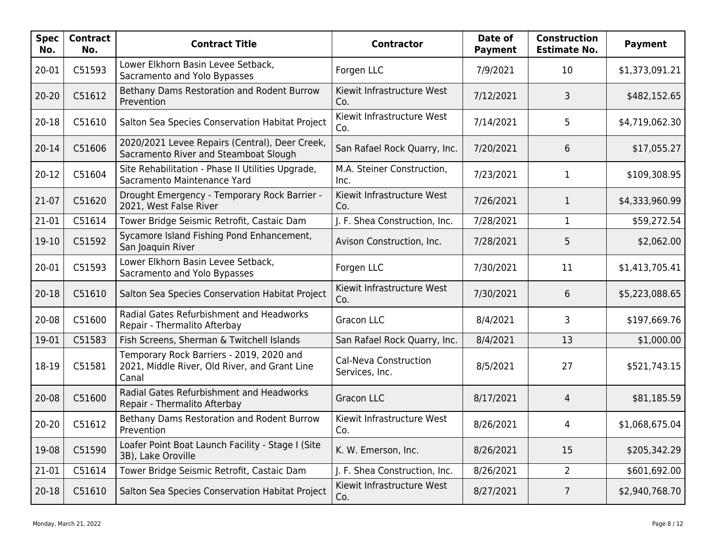| <b>Spec</b><br>No. | <b>Contract</b><br>No. | <b>Contract Title</b>                                                                              | <b>Contractor</b>                       | Date of<br><b>Payment</b> | <b>Construction</b><br><b>Estimate No.</b> | <b>Payment</b> |
|--------------------|------------------------|----------------------------------------------------------------------------------------------------|-----------------------------------------|---------------------------|--------------------------------------------|----------------|
| 20-01              | C51593                 | Lower Elkhorn Basin Levee Setback,<br>Sacramento and Yolo Bypasses                                 | Forgen LLC                              | 7/9/2021                  | 10                                         | \$1,373,091.21 |
| $20 - 20$          | C51612                 | Bethany Dams Restoration and Rodent Burrow<br>Prevention                                           | Kiewit Infrastructure West<br>Co.       | 7/12/2021                 | 3                                          | \$482,152.65   |
| 20-18              | C51610                 | Salton Sea Species Conservation Habitat Project                                                    | Kiewit Infrastructure West<br>Co.       | 7/14/2021                 | 5                                          | \$4,719,062.30 |
| $20 - 14$          | C51606                 | 2020/2021 Levee Repairs (Central), Deer Creek,<br>Sacramento River and Steamboat Slough            | San Rafael Rock Quarry, Inc.            | 7/20/2021                 | 6                                          | \$17,055.27    |
| $20 - 12$          | C51604                 | Site Rehabilitation - Phase II Utilities Upgrade,<br>Sacramento Maintenance Yard                   | M.A. Steiner Construction,<br>Inc.      | 7/23/2021                 | $\mathbf{1}$                               | \$109,308.95   |
| 21-07              | C51620                 | Drought Emergency - Temporary Rock Barrier -<br>2021, West False River                             | Kiewit Infrastructure West<br>Co.       | 7/26/2021                 | 1                                          | \$4,333,960.99 |
| 21-01              | C51614                 | Tower Bridge Seismic Retrofit, Castaic Dam                                                         | J. F. Shea Construction, Inc.           | 7/28/2021                 | 1                                          | \$59,272.54    |
| 19-10              | C51592                 | Sycamore Island Fishing Pond Enhancement,<br>San Joaquin River                                     | Avison Construction, Inc.               | 7/28/2021                 | 5                                          | \$2,062.00     |
| 20-01              | C51593                 | Lower Elkhorn Basin Levee Setback,<br>Sacramento and Yolo Bypasses                                 | Forgen LLC                              | 7/30/2021                 | 11                                         | \$1,413,705.41 |
| $20 - 18$          | C51610                 | Salton Sea Species Conservation Habitat Project                                                    | Kiewit Infrastructure West<br>Co.       | 7/30/2021                 | 6                                          | \$5,223,088.65 |
| 20-08              | C51600                 | Radial Gates Refurbishment and Headworks<br>Repair - Thermalito Afterbay                           | <b>Gracon LLC</b>                       | 8/4/2021                  | 3                                          | \$197,669.76   |
| 19-01              | C51583                 | Fish Screens, Sherman & Twitchell Islands                                                          | San Rafael Rock Quarry, Inc.            | 8/4/2021                  | 13                                         | \$1,000.00     |
| 18-19              | C51581                 | Temporary Rock Barriers - 2019, 2020 and<br>2021, Middle River, Old River, and Grant Line<br>Canal | Cal-Neva Construction<br>Services, Inc. | 8/5/2021                  | 27                                         | \$521,743.15   |
| 20-08              | C51600                 | Radial Gates Refurbishment and Headworks<br>Repair - Thermalito Afterbay                           | <b>Gracon LLC</b>                       | 8/17/2021                 | 4                                          | \$81,185.59    |
| $20 - 20$          | C51612                 | Bethany Dams Restoration and Rodent Burrow<br>Prevention                                           | Kiewit Infrastructure West<br>Co.       | 8/26/2021                 | 4                                          | \$1,068,675.04 |
| 19-08              | C51590                 | Loafer Point Boat Launch Facility - Stage I (Site<br>3B), Lake Oroville                            | K. W. Emerson, Inc.                     | 8/26/2021                 | 15                                         | \$205,342.29   |
| 21-01              | C51614                 | Tower Bridge Seismic Retrofit, Castaic Dam                                                         | J. F. Shea Construction, Inc.           | 8/26/2021                 | $\overline{2}$                             | \$601,692.00   |
| $20 - 18$          | C51610                 | Salton Sea Species Conservation Habitat Project                                                    | Kiewit Infrastructure West<br>Co.       | 8/27/2021                 | 7                                          | \$2,940,768.70 |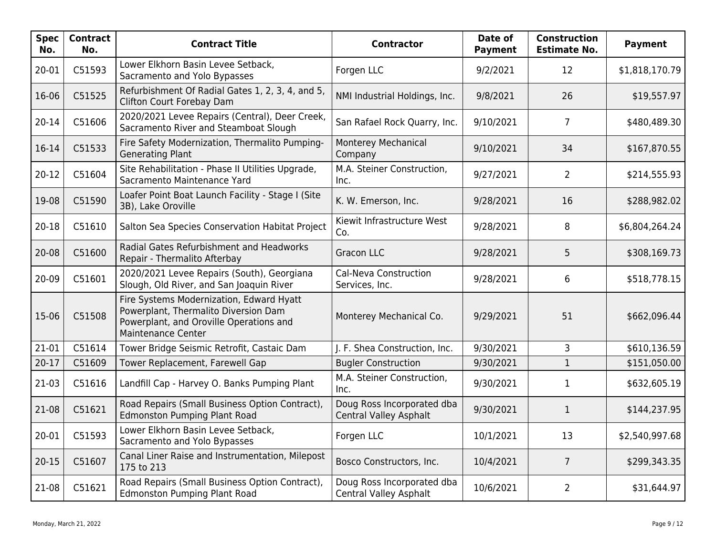| <b>Spec</b><br>No. | <b>Contract</b><br>No. | <b>Contract Title</b>                                                                                                                                    | <b>Contractor</b>                                           | Date of<br><b>Payment</b> | <b>Construction</b><br><b>Estimate No.</b> | <b>Payment</b> |
|--------------------|------------------------|----------------------------------------------------------------------------------------------------------------------------------------------------------|-------------------------------------------------------------|---------------------------|--------------------------------------------|----------------|
| 20-01              | C51593                 | Lower Elkhorn Basin Levee Setback,<br>Sacramento and Yolo Bypasses                                                                                       | Forgen LLC                                                  | 9/2/2021                  | 12                                         | \$1,818,170.79 |
| 16-06              | C51525                 | Refurbishment Of Radial Gates 1, 2, 3, 4, and 5,<br>Clifton Court Forebay Dam                                                                            | NMI Industrial Holdings, Inc.                               | 9/8/2021                  | 26                                         | \$19,557.97    |
| $20 - 14$          | C51606                 | 2020/2021 Levee Repairs (Central), Deer Creek,<br>Sacramento River and Steamboat Slough                                                                  | San Rafael Rock Quarry, Inc.                                | 9/10/2021                 | $\overline{7}$                             | \$480,489.30   |
| $16 - 14$          | C51533                 | Fire Safety Modernization, Thermalito Pumping-<br><b>Generating Plant</b>                                                                                | Monterey Mechanical<br>Company                              | 9/10/2021                 | 34                                         | \$167,870.55   |
| $20-12$            | C51604                 | Site Rehabilitation - Phase II Utilities Upgrade,<br>Sacramento Maintenance Yard                                                                         | M.A. Steiner Construction,<br>Inc.                          | 9/27/2021                 | $\overline{2}$                             | \$214,555.93   |
| 19-08              | C51590                 | Loafer Point Boat Launch Facility - Stage I (Site<br>3B), Lake Oroville                                                                                  | K. W. Emerson, Inc.                                         | 9/28/2021                 | 16                                         | \$288,982.02   |
| 20-18              | C51610                 | Salton Sea Species Conservation Habitat Project                                                                                                          | Kiewit Infrastructure West<br>Co.                           | 9/28/2021                 | 8                                          | \$6,804,264.24 |
| 20-08              | C51600                 | Radial Gates Refurbishment and Headworks<br>Repair - Thermalito Afterbay                                                                                 | <b>Gracon LLC</b>                                           | 9/28/2021                 | 5                                          | \$308,169.73   |
| 20-09              | C51601                 | 2020/2021 Levee Repairs (South), Georgiana<br>Slough, Old River, and San Joaquin River                                                                   | Cal-Neva Construction<br>Services, Inc.                     | 9/28/2021                 | 6                                          | \$518,778.15   |
| 15-06              | C51508                 | Fire Systems Modernization, Edward Hyatt<br>Powerplant, Thermalito Diversion Dam<br>Powerplant, and Oroville Operations and<br><b>Maintenance Center</b> | Monterey Mechanical Co.                                     | 9/29/2021                 | 51                                         | \$662,096.44   |
| $21-01$            | C51614                 | Tower Bridge Seismic Retrofit, Castaic Dam                                                                                                               | J. F. Shea Construction, Inc.                               | 9/30/2021                 | 3                                          | \$610,136.59   |
| $20 - 17$          | C51609                 | Tower Replacement, Farewell Gap                                                                                                                          | <b>Bugler Construction</b>                                  | 9/30/2021                 | $\mathbf{1}$                               | \$151,050.00   |
| $21-03$            | C51616                 | Landfill Cap - Harvey O. Banks Pumping Plant                                                                                                             | M.A. Steiner Construction,<br>Inc.                          | 9/30/2021                 | $\mathbf{1}$                               | \$632,605.19   |
| 21-08              | C51621                 | Road Repairs (Small Business Option Contract),<br><b>Edmonston Pumping Plant Road</b>                                                                    | Doug Ross Incorporated dba<br>Central Valley Asphalt        | 9/30/2021                 | $\mathbf{1}$                               | \$144,237.95   |
| $20 - 01$          | C51593                 | Lower Elkhorn Basin Levee Setback,<br>Sacramento and Yolo Bypasses                                                                                       | Forgen LLC                                                  | 10/1/2021                 | 13                                         | \$2,540,997.68 |
| $20 - 15$          | C51607                 | Canal Liner Raise and Instrumentation, Milepost<br>175 to 213                                                                                            | Bosco Constructors, Inc.                                    | 10/4/2021                 | $\overline{7}$                             | \$299,343.35   |
| 21-08              | C51621                 | Road Repairs (Small Business Option Contract),<br><b>Edmonston Pumping Plant Road</b>                                                                    | Doug Ross Incorporated dba<br><b>Central Valley Asphalt</b> | 10/6/2021                 | $\overline{2}$                             | \$31,644.97    |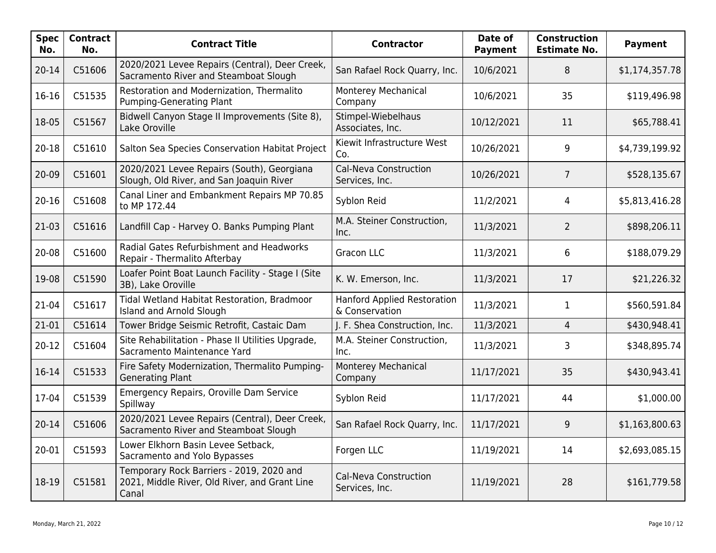| <b>Spec</b><br>No. | <b>Contract</b><br>No. | <b>Contract Title</b>                                                                              | <b>Contractor</b>                                    | Date of<br><b>Payment</b> | <b>Construction</b><br><b>Estimate No.</b> | <b>Payment</b> |
|--------------------|------------------------|----------------------------------------------------------------------------------------------------|------------------------------------------------------|---------------------------|--------------------------------------------|----------------|
| $20 - 14$          | C51606                 | 2020/2021 Levee Repairs (Central), Deer Creek,<br>Sacramento River and Steamboat Slough            | San Rafael Rock Quarry, Inc.                         | 10/6/2021                 | 8                                          | \$1,174,357.78 |
| 16-16              | C51535                 | Restoration and Modernization, Thermalito<br>Pumping-Generating Plant                              | <b>Monterey Mechanical</b><br>Company                | 10/6/2021                 | 35                                         | \$119,496.98   |
| 18-05              | C51567                 | Bidwell Canyon Stage II Improvements (Site 8),<br>Lake Oroville                                    | Stimpel-Wiebelhaus<br>Associates, Inc.               | 10/12/2021                | 11                                         | \$65,788.41    |
| $20 - 18$          | C51610                 | Salton Sea Species Conservation Habitat Project                                                    | Kiewit Infrastructure West<br>Co.                    | 10/26/2021                | 9                                          | \$4,739,199.92 |
| 20-09              | C51601                 | 2020/2021 Levee Repairs (South), Georgiana<br>Slough, Old River, and San Joaquin River             | <b>Cal-Neva Construction</b><br>Services, Inc.       | 10/26/2021                | $\overline{7}$                             | \$528,135.67   |
| $20 - 16$          | C51608                 | Canal Liner and Embankment Repairs MP 70.85<br>to MP 172.44                                        | Syblon Reid                                          | 11/2/2021                 | 4                                          | \$5,813,416.28 |
| $21-03$            | C51616                 | Landfill Cap - Harvey O. Banks Pumping Plant                                                       | M.A. Steiner Construction,<br>Inc.                   | 11/3/2021                 | $\overline{2}$                             | \$898,206.11   |
| 20-08              | C51600                 | Radial Gates Refurbishment and Headworks<br>Repair - Thermalito Afterbay                           | <b>Gracon LLC</b>                                    | 11/3/2021                 | 6                                          | \$188,079.29   |
| 19-08              | C51590                 | Loafer Point Boat Launch Facility - Stage I (Site<br>3B), Lake Oroville                            | K. W. Emerson, Inc.                                  | 11/3/2021                 | 17                                         | \$21,226.32    |
| 21-04              | C51617                 | Tidal Wetland Habitat Restoration, Bradmoor<br>Island and Arnold Slough                            | <b>Hanford Applied Restoration</b><br>& Conservation | 11/3/2021                 | 1                                          | \$560,591.84   |
| 21-01              | C51614                 | Tower Bridge Seismic Retrofit, Castaic Dam                                                         | J. F. Shea Construction, Inc.                        | 11/3/2021                 | $\overline{4}$                             | \$430,948.41   |
| $20 - 12$          | C51604                 | Site Rehabilitation - Phase II Utilities Upgrade,<br>Sacramento Maintenance Yard                   | M.A. Steiner Construction,<br>Inc.                   | 11/3/2021                 | 3                                          | \$348,895.74   |
| 16-14              | C51533                 | Fire Safety Modernization, Thermalito Pumping-<br><b>Generating Plant</b>                          | Monterey Mechanical<br>Company                       | 11/17/2021                | 35                                         | \$430,943.41   |
| 17-04              | C51539                 | Emergency Repairs, Oroville Dam Service<br>Spillway                                                | Syblon Reid                                          | 11/17/2021                | 44                                         | \$1,000.00     |
| $20 - 14$          | C51606                 | 2020/2021 Levee Repairs (Central), Deer Creek,<br>Sacramento River and Steamboat Slough            | San Rafael Rock Quarry, Inc.                         | 11/17/2021                | 9                                          | \$1,163,800.63 |
| 20-01              | C51593                 | Lower Elkhorn Basin Levee Setback,<br>Sacramento and Yolo Bypasses                                 | Forgen LLC                                           | 11/19/2021                | 14                                         | \$2,693,085.15 |
| 18-19              | C51581                 | Temporary Rock Barriers - 2019, 2020 and<br>2021, Middle River, Old River, and Grant Line<br>Canal | Cal-Neva Construction<br>Services, Inc.              | 11/19/2021                | 28                                         | \$161,779.58   |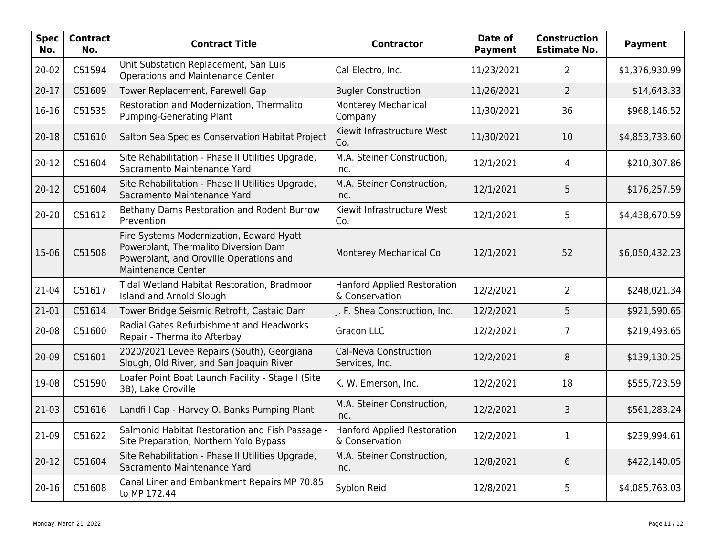| Spec  <br>No. | <b>Contract</b><br>No. | <b>Contract Title</b>                                                                                                                                    | <b>Contractor</b>                                    | Date of<br><b>Payment</b> | <b>Construction</b><br><b>Estimate No.</b> | <b>Payment</b> |
|---------------|------------------------|----------------------------------------------------------------------------------------------------------------------------------------------------------|------------------------------------------------------|---------------------------|--------------------------------------------|----------------|
| 20-02         | C51594                 | Unit Substation Replacement, San Luis<br><b>Operations and Maintenance Center</b>                                                                        | Cal Electro, Inc.                                    | 11/23/2021                | $\overline{2}$                             | \$1,376,930.99 |
| $20 - 17$     | C51609                 | Tower Replacement, Farewell Gap                                                                                                                          | <b>Bugler Construction</b>                           | 11/26/2021                | $\overline{2}$                             | \$14,643.33    |
| 16-16         | C51535                 | Restoration and Modernization, Thermalito<br>Pumping-Generating Plant                                                                                    | Monterey Mechanical<br>Company                       | 11/30/2021                | 36                                         | \$968,146.52   |
| $20 - 18$     | C51610                 | Salton Sea Species Conservation Habitat Project                                                                                                          | Kiewit Infrastructure West<br>Co.                    | 11/30/2021                | 10                                         | \$4,853,733.60 |
| $20 - 12$     | C51604                 | Site Rehabilitation - Phase II Utilities Upgrade,<br>Sacramento Maintenance Yard                                                                         | M.A. Steiner Construction,<br>Inc.                   | 12/1/2021                 | 4                                          | \$210,307.86   |
| $20 - 12$     | C51604                 | Site Rehabilitation - Phase II Utilities Upgrade,<br>Sacramento Maintenance Yard                                                                         | M.A. Steiner Construction,<br>Inc.                   | 12/1/2021                 | 5                                          | \$176,257.59   |
| $20 - 20$     | C51612                 | Bethany Dams Restoration and Rodent Burrow<br>Prevention                                                                                                 | Kiewit Infrastructure West<br>Co.                    | 12/1/2021                 | 5                                          | \$4,438,670.59 |
| 15-06         | C51508                 | Fire Systems Modernization, Edward Hyatt<br>Powerplant, Thermalito Diversion Dam<br>Powerplant, and Oroville Operations and<br><b>Maintenance Center</b> | Monterey Mechanical Co.                              | 12/1/2021                 | 52                                         | \$6,050,432.23 |
| 21-04         | C51617                 | Tidal Wetland Habitat Restoration, Bradmoor<br>Island and Arnold Slough                                                                                  | <b>Hanford Applied Restoration</b><br>& Conservation | 12/2/2021                 | $\overline{2}$                             | \$248,021.34   |
| 21-01         | C51614                 | Tower Bridge Seismic Retrofit, Castaic Dam                                                                                                               | J. F. Shea Construction, Inc.                        | 12/2/2021                 | 5                                          | \$921,590.65   |
| 20-08         | C51600                 | Radial Gates Refurbishment and Headworks<br>Repair - Thermalito Afterbay                                                                                 | <b>Gracon LLC</b>                                    | 12/2/2021                 | $\overline{7}$                             | \$219,493.65   |
| 20-09         | C51601                 | 2020/2021 Levee Repairs (South), Georgiana<br>Slough, Old River, and San Joaquin River                                                                   | Cal-Neva Construction<br>Services, Inc.              | 12/2/2021                 | 8                                          | \$139,130.25   |
| 19-08         | C51590                 | Loafer Point Boat Launch Facility - Stage I (Site<br>3B), Lake Oroville                                                                                  | K. W. Emerson, Inc.                                  | 12/2/2021                 | 18                                         | \$555,723.59   |
| $21-03$       | C51616                 | Landfill Cap - Harvey O. Banks Pumping Plant                                                                                                             | M.A. Steiner Construction,<br>Inc.                   | 12/2/2021                 | 3                                          | \$561,283.24   |
| $21-09$       | C51622                 | Salmonid Habitat Restoration and Fish Passage -<br>Site Preparation, Northern Yolo Bypass                                                                | <b>Hanford Applied Restoration</b><br>& Conservation | 12/2/2021                 | $\mathbf 1$                                | \$239,994.61   |
| $20-12$       | C51604                 | Site Rehabilitation - Phase II Utilities Upgrade,<br>Sacramento Maintenance Yard                                                                         | M.A. Steiner Construction,<br>Inc.                   | 12/8/2021                 | $6\phantom{.}6$                            | \$422,140.05   |
| $20 - 16$     | C51608                 | Canal Liner and Embankment Repairs MP 70.85<br>to MP 172.44                                                                                              | Syblon Reid                                          | 12/8/2021                 | 5                                          | \$4,085,763.03 |